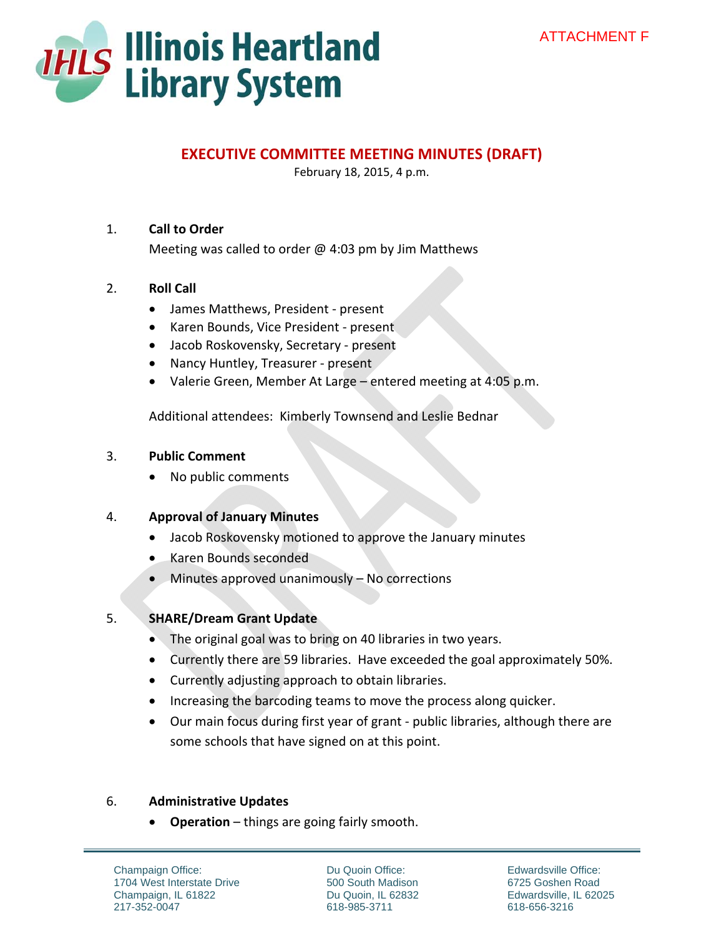

# **EXECUTIVE COMMITTEE MEETING MINUTES (DRAFT)**

February 18, 2015, 4 p.m.

## 1. **Call to Order**

Meeting was called to order  $\omega$  4:03 pm by Jim Matthews

### 2. **Roll Call**

- James Matthews, President present
- Karen Bounds, Vice President present
- Jacob Roskovensky, Secretary present
- Nancy Huntley, Treasurer present
- Valerie Green, Member At Large entered meeting at 4:05 p.m.

Additional attendees: Kimberly Townsend and Leslie Bednar

#### 3. **Public Comment**

No public comments

#### 4. **Approval of January Minutes**

- Jacob Roskovensky motioned to approve the January minutes
- Karen Bounds seconded
- Minutes approved unanimously No corrections

## 5. **SHARE/Dream Grant Update**

- The original goal was to bring on 40 libraries in two years.
- Currently there are 59 libraries. Have exceeded the goal approximately 50%.
- Currently adjusting approach to obtain libraries.
- Increasing the barcoding teams to move the process along quicker.
- Our main focus during first year of grant public libraries, although there are some schools that have signed on at this point.

#### 6. **Administrative Updates**

**Operation** – things are going fairly smooth.

Champaign Office: 1704 West Interstate Drive Champaign, IL 61822 217-352-0047

Du Quoin Office: 500 South Madison Du Quoin, IL 62832 618-985-3711

Edwardsville Office: 6725 Goshen Road Edwardsville, IL 62025 618-656-3216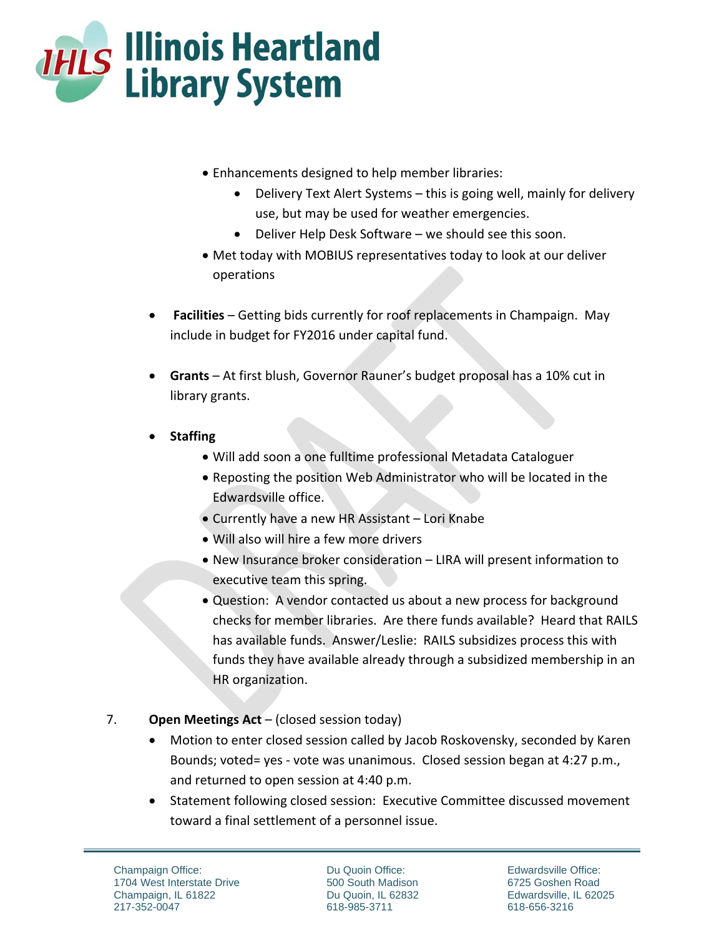

- Enhancements designed to help member libraries:
	- Delivery Text Alert Systems this is going well, mainly for delivery use, but may be used for weather emergencies.
	- Deliver Help Desk Software we should see this soon.
- Met today with MOBIUS representatives today to look at our deliver operations
- **Facilities** Getting bids currently for roof replacements in Champaign. May include in budget for FY2016 under capital fund.
- **Grants** At first blush, Governor Rauner's budget proposal has a 10% cut in library grants.
- **Staffing** 
	- Will add soon a one fulltime professional Metadata Cataloguer
	- Reposting the position Web Administrator who will be located in the Edwardsville office.
	- Currently have a new HR Assistant Lori Knabe
	- Will also will hire a few more drivers
	- New Insurance broker consideration LIRA will present information to executive team this spring.
	- Question: A vendor contacted us about a new process for background checks for member libraries. Are there funds available? Heard that RAILS has available funds. Answer/Leslie: RAILS subsidizes process this with funds they have available already through a subsidized membership in an HR organization.

# 7. **Open Meetings Act** – (closed session today)

- Motion to enter closed session called by Jacob Roskovensky, seconded by Karen Bounds; voted= yes ‐ vote was unanimous. Closed session began at 4:27 p.m., and returned to open session at 4:40 p.m.
- Statement following closed session: Executive Committee discussed movement toward a final settlement of a personnel issue.

Champaign Office: 1704 West Interstate Drive Champaign, IL 61822 217-352-0047

Du Quoin Office: 500 South Madison Du Quoin, IL 62832 618-985-3711

Edwardsville Office: 6725 Goshen Road Edwardsville, IL 62025 618-656-3216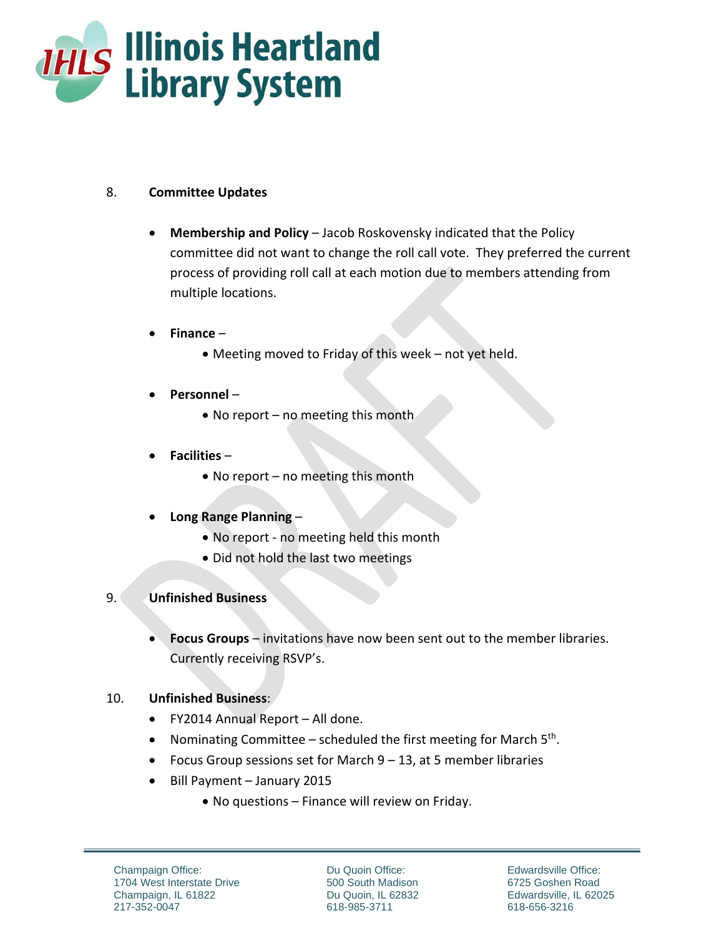

## 8. **Committee Updates**

- **Membership and Policy** Jacob Roskovensky indicated that the Policy committee did not want to change the roll call vote. They preferred the current process of providing roll call at each motion due to members attending from multiple locations.
- **Finance**
	- Meeting moved to Friday of this week not yet held.
- **Personnel**
	- No report no meeting this month
- **Facilities**
	- No report no meeting this month
- **Long Range Planning**
	- No report no meeting held this month
	- Did not hold the last two meetings

## 9. **Unfinished Business**

 **Focus Groups** – invitations have now been sent out to the member libraries. Currently receiving RSVP's.

## 10. **Unfinished Business**:

- FY2014 Annual Report All done.
- Nominating Committee scheduled the first meeting for March  $5<sup>th</sup>$ .
- Focus Group sessions set for March 9 13, at 5 member libraries
- Bill Payment January 2015
	- No questions Finance will review on Friday.

Du Quoin Office: 500 South Madison Du Quoin, IL 62832 618-985-3711